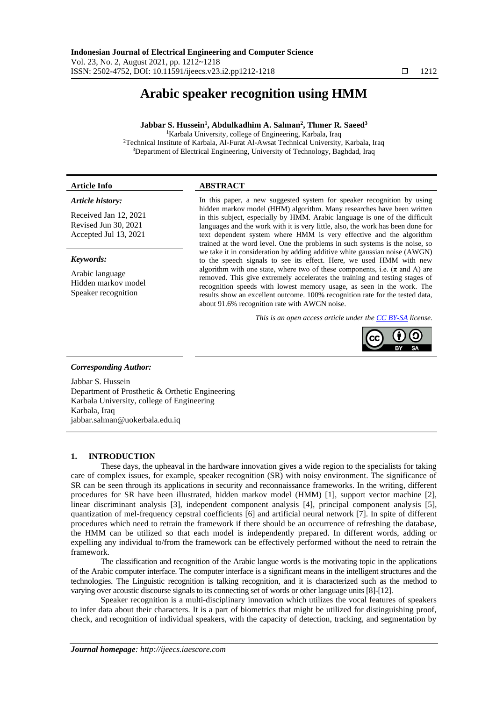# **Arabic speaker recognition using HMM**

# **Jabbar S. Hussein<sup>1</sup> , Abdulkadhim A. Salman<sup>2</sup> , Thmer R. Saeed<sup>3</sup>**

<sup>1</sup>Karbala University, college of Engineering, Karbala, Iraq <sup>2</sup>Technical Institute of Karbala, Al-Furat Al-Awsat Technical University, Karbala, Iraq <sup>3</sup>Department of Electrical Engineering, University of Technology, Baghdad, Iraq

# **Article Info ABSTRACT**

# *Article history:*

Received Jan 12, 2021 Revised Jun 30, 2021 Accepted Jul 13, 2021

# *Keywords:*

Arabic language Hidden markov model Speaker recognition

In this paper, a new suggested system for speaker recognition by using hidden markov model (HHM) algorithm. Many researches have been written in this subject, especially by HMM. Arabic language is one of the difficult languages and the work with it is very little, also, the work has been done for text dependent system where HMM is very effective and the algorithm trained at the word level. One the problems in such systems is the noise, so we take it in consideration by adding additive white gaussian noise (AWGN) to the speech signals to see its effect. Here, we used HMM with new algorithm with one state, where two of these components, i.e.  $(\pi$  and A) are removed. This give extremely accelerates the training and testing stages of recognition speeds with lowest memory usage, as seen in the work. The results show an excellent outcome. 100% recognition rate for the tested data, about 91.6% recognition rate with AWGN noise.

*This is an open access article under the [CC BY-SA](https://creativecommons.org/licenses/by-sa/4.0/) license.*



#### *Corresponding Author:*

Jabbar S. Hussein Department of Prosthetic & Orthetic Engineering Karbala University, college of Engineering Karbala, Iraq jabbar.salman@uokerbala.edu.iq

# **1. INTRODUCTION**

These days, the upheaval in the hardware innovation gives a wide region to the specialists for taking care of complex issues, for example, speaker recognition (SR) with noisy environment. The significance of SR can be seen through its applications in security and reconnaissance frameworks. In the writing, different procedures for SR have been illustrated, hidden markov model (HMM) [1], support vector machine [2], linear discriminant analysis [3], independent component analysis [4], principal component analysis [5], quantization of mel-frequency cepstral coefficients [6] and artificial neural network [7]. In spite of different procedures which need to retrain the framework if there should be an occurrence of refreshing the database, the HMM can be utilized so that each model is independently prepared. In different words, adding or expelling any individual to/from the framework can be effectively performed without the need to retrain the framework.

The classification and recognition of the Arabic langue words is the motivating topic in the applications of the Arabic computer interface. The computer interface is a significant means in the intelligent structures and the technologies. The Linguistic recognition is talking recognition, and it is characterized such as the method to varying over acoustic discourse signals to its connecting set of words or other language units [8]-[12].

Speaker recognition is a multi-disciplinary innovation which utilizes the vocal features of speakers to infer data about their characters. It is a part of biometrics that might be utilized for distinguishing proof, check, and recognition of individual speakers, with the capacity of detection, tracking, and segmentation by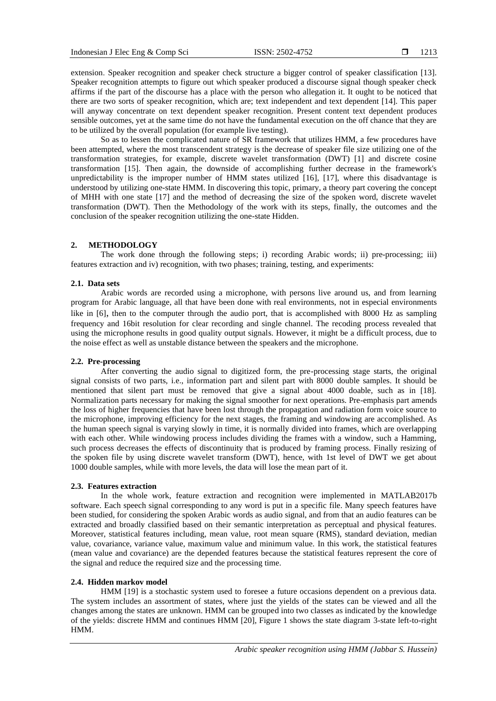extension. Speaker recognition and speaker check structure a bigger control of speaker classification [13]. Speaker recognition attempts to figure out which speaker produced a discourse signal though speaker check affirms if the part of the discourse has a place with the person who allegation it. It ought to be noticed that there are two sorts of speaker recognition, which are; text independent and text dependent [14]. This paper will anyway concentrate on text dependent speaker recognition. Present content text dependent produces sensible outcomes, yet at the same time do not have the fundamental execution on the off chance that they are to be utilized by the overall population (for example live testing).

So as to lessen the complicated nature of SR framework that utilizes HMM, a few procedures have been attempted, where the most transcendent strategy is the decrease of speaker file size utilizing one of the transformation strategies, for example, discrete wavelet transformation (DWT) [1] and discrete cosine transformation [15]. Then again, the downside of accomplishing further decrease in the framework's unpredictability is the improper number of HMM states utilized [16], [17], where this disadvantage is understood by utilizing one-state HMM. In discovering this topic, primary, a theory part covering the concept of MHH with one state [17] and the method of decreasing the size of the spoken word, discrete wavelet transformation (DWT). Then the Methodology of the work with its steps, finally, the outcomes and the conclusion of the speaker recognition utilizing the one-state Hidden.

# **2. METHODOLOGY**

The work done through the following steps; i) recording Arabic words; ii) pre-processing; iii) features extraction and iv) recognition, with two phases; training, testing, and experiments:

## **2.1. Data sets**

Arabic words are recorded using a microphone, with persons live around us, and from learning program for Arabic language, all that have been done with real environments, not in especial environments like in [6], then to the computer through the audio port, that is accomplished with 8000 Hz as sampling frequency and 16bit resolution for clear recording and single channel. The recoding process revealed that using the microphone results in good quality output signals. However, it might be a difficult process, due to the noise effect as well as unstable distance between the speakers and the microphone.

## **2.2. Pre-processing**

After converting the audio signal to digitized form, the pre-processing stage starts, the original signal consists of two parts, i.e., information part and silent part with 8000 double samples. It should be mentioned that silent part must be removed that give a signal about 4000 doable, such as in [18]. Normalization parts necessary for making the signal smoother for next operations. Pre-emphasis part amends the loss of higher frequencies that have been lost through the propagation and radiation form voice source to the microphone, improving efficiency for the next stages, the framing and windowing are accomplished. As the human speech signal is varying slowly in time, it is normally divided into frames, which are overlapping with each other. While windowing process includes dividing the frames with a window, such a Hamming, such process decreases the effects of discontinuity that is produced by framing process. Finally resizing of the spoken file by using discrete wavelet transform (DWT), hence, with 1st level of DWT we get about 1000 double samples, while with more levels, the data will lose the mean part of it.

# **2.3. Features extraction**

In the whole work, feature extraction and recognition were implemented in MATLAB2017b software. Each speech signal corresponding to any word is put in a specific file. Many speech features have been studied, for considering the spoken Arabic words as audio signal, and from that an audio features can be extracted and broadly classified based on their semantic interpretation as perceptual and physical features. Moreover, statistical features including, mean value, root mean square (RMS), standard deviation, median value, covariance, variance value, maximum value and minimum value. In this work, the statistical features (mean value and covariance) are the depended features because the statistical features represent the core of the signal and reduce the required size and the processing time.

## **2.4. Hidden markov model**

HMM [19] is a stochastic system used to foresee a future occasions dependent on a previous data. The system includes an assortment of states, where just the yields of the states can be viewed and all the changes among the states are unknown. HMM can be grouped into two classes as indicated by the knowledge of the yields: discrete HMM and continues HMM [20], Figure 1 shows the state diagram 3-state left-to-right HMM.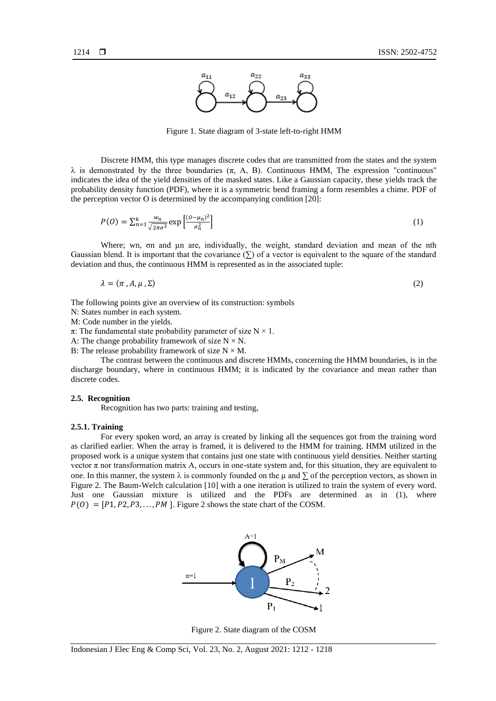

Figure 1. State diagram of 3-state left-to-right HMM

Discrete HMM, this type manages discrete codes that are transmitted from the states and the system  $\lambda$  is demonstrated by the three boundaries ( $\pi$ , A, B). Continuous HMM, The expression "continuous" indicates the idea of the yield densities of the masked states. Like a Gaussian capacity, these yields track the probability density function (PDF), where it is a symmetric bend framing a form resembles a chime. PDF of the perception vector O is determined by the accompanying condition [20]:

$$
P(0) = \sum_{n=1}^{k} \frac{w_n}{\sqrt{2\pi\sigma^2}} \exp\left[\frac{(0-\mu_n)^2}{\sigma_n^2}\right]
$$
\n<sup>(1)</sup>

Where; wn, σn and µn are, individually, the weight, standard deviation and mean of the nth Gaussian blend. It is important that the covariance  $(\Sigma)$  of a vector is equivalent to the square of the standard deviation and thus, the continuous HMM is represented as in the associated tuple:

$$
\lambda = (\pi, A, \mu, \Sigma) \tag{2}
$$

The following points give an overview of its construction: symbols

N: States number in each system.

M: Code number in the yields.

 $π$ : The fundamental state probability parameter of size N × 1.

A: The change probability framework of size  $N \times N$ .

B: The release probability framework of size  $N \times M$ .

The contrast between the continuous and discrete HMMs, concerning the HMM boundaries, is in the discharge boundary, where in continuous HMM; it is indicated by the covariance and mean rather than discrete codes.

## **2.5. Recognition**

Recognition has two parts: training and testing,

#### **2.5.1. Training**

For every spoken word, an array is created by linking all the sequences got from the training word as clarified earlier. When the array is framed, it is delivered to the HMM for training. HMM utilized in the proposed work is a unique system that contains just one state with continuous yield densities. Neither starting vector  $\pi$  nor transformation matrix A, occurs in one-state system and, for this situation, they are equivalent to one. In this manner, the system  $\lambda$  is commonly founded on the  $\mu$  and  $\Sigma$  of the perception vectors, as shown in Figure 2. The Baum-Welch calculation [10] with a one iteration is utilized to train the system of every word. Just one Gaussian mixture is utilized and the PDFs are determined as in (1), where  $P(0) = [P1, P2, P3, \dots, PM]$ . Figure 2 shows the state chart of the COSM.



Figure 2. State diagram of the COSM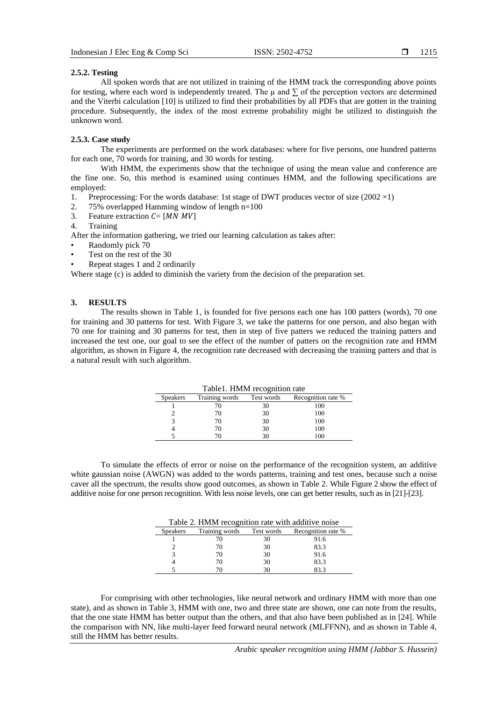# **2.5.2. Testing**

All spoken words that are not utilized in training of the HMM track the corresponding above points for testing, where each word is independently treated. The  $\mu$  and  $\Sigma$  of the perception vectors are determined and the Viterbi calculation [10] is utilized to find their probabilities by all PDFs that are gotten in the training procedure. Subsequently, the index of the most extreme probability might be utilized to distinguish the unknown word.

## **2.5.3. Case study**

The experiments are performed on the work databases: where for five persons, one hundred patterns for each one, 70 words for training, and 30 words for testing.

With HMM, the experiments show that the technique of using the mean value and conference are the fine one. So, this method is examined using continues HMM, and the following specifications are employed:

- 1. Preprocessing: For the words database: 1st stage of DWT produces vector of size (2002 $\times$ 1)
- 2. 75% overlapped Hamming window of length n=100
- 3. Feature extraction  $C = [MN \, MV]$
- 4. Training

After the information gathering, we tried our learning calculation as takes after:

- Randomly pick 70
- Test on the rest of the 30
- Repeat stages 1 and 2 ordinarily

Where stage (c) is added to diminish the variety from the decision of the preparation set.

# **3. RESULTS**

The results shown in Table 1, is founded for five persons each one has 100 patters (words), 70 one for training and 30 patterns for test. With Figure 3, we take the patterns for one person, and also began with 70 one for training and 30 patterns for test, then in step of five patters we reduced the training patters and increased the test one, our goal to see the effect of the number of patters on the recognition rate and HMM algorithm, as shown in Figure 4, the recognition rate decreased with decreasing the training patters and that is a natural result with such algorithm.

| Table 1. HMM recognition rate |                |            |                    |  |  |
|-------------------------------|----------------|------------|--------------------|--|--|
| <b>Speakers</b>               | Training words | Test words | Recognition rate % |  |  |
|                               |                |            | 100                |  |  |
|                               | 70             | 30         | 100                |  |  |
|                               | 70             | 30         | 100                |  |  |
|                               | 70             | 30         | 100                |  |  |
|                               |                |            | 100                |  |  |

To simulate the effects of error or noise on the performance of the recognition system, an additive white gaussian noise (AWGN) was added to the words patterns, training and test ones, because such a noise caver all the spectrum, the results show good outcomes, as shown in Table 2. While Figure 2 show the effect of additive noise for one person recognition. With less noise levels, one can get better results, such as in [21]-[23].

| Table 2. HMM recognition rate with additive noise |                |            |                    |  |
|---------------------------------------------------|----------------|------------|--------------------|--|
| <b>Speakers</b>                                   | Training words | Test words | Recognition rate % |  |
|                                                   |                | 30         | 91.6               |  |
|                                                   | 70             | 30         | 83.3               |  |
|                                                   | 70             | 30         | 91.6               |  |
|                                                   | 70             | 30         | 83.3               |  |
|                                                   |                | 30         |                    |  |

For comprising with other technologies, like neural network and ordinary HMM with more than one state), and as shown in Table 3, HMM with one, two and three state are shown, one can note from the results, that the one state HMM has better output than the others, and that also have been published as in [24]. While the comparison with NN, like multi-layer feed forward neural network (MLFFNN), and as shown in Table 4, still the HMM has better results.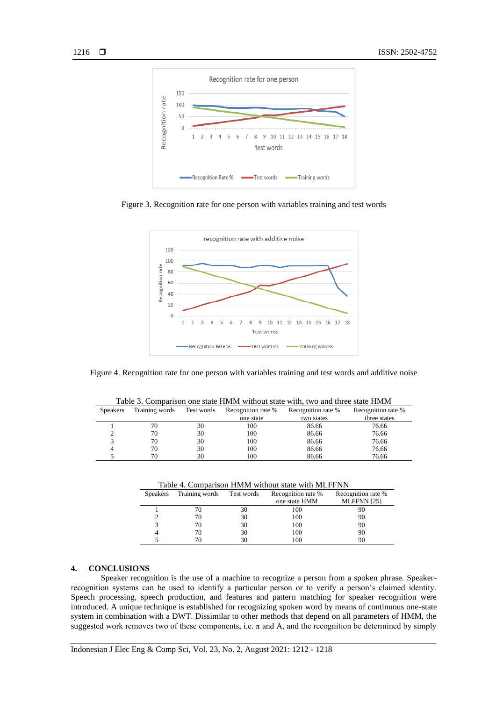

Figure 3. Recognition rate for one person with variables training and test words



Figure 4. Recognition rate for one person with variables training and test words and additive noise

Table 3. Comparison one state HMM without state with, two and three state HMM

| Table 5. Comparison one state filming without state with, two and timee state filming |                |            |                    |                    |                    |
|---------------------------------------------------------------------------------------|----------------|------------|--------------------|--------------------|--------------------|
| <b>Speakers</b>                                                                       | Training words | Test words | Recognition rate % | Recognition rate % | Recognition rate % |
|                                                                                       |                |            | one state          | two states         | three states       |
|                                                                                       | 70             | 30         | 100                | 86.66              | 76.66              |
|                                                                                       | 70             | 30         | 100                | 86.66              | 76.66              |
|                                                                                       | 70             | 30         | 100                | 86.66              | 76.66              |
|                                                                                       | 70.            | 30         | 100                | 86.66              | 76.66              |

5 70 30 100 86.66 76.66

| <b>Speakers</b> | Training words | Test words | Recognition rate % | Recognition rate % |
|-----------------|----------------|------------|--------------------|--------------------|
|                 |                |            | one state HMM      | MLFFNN [25]        |
|                 | 70             | 30         | 100                | 90                 |
|                 | 70             | 30         | 100                | 90                 |
|                 | 70             | 30         | 100                | 90                 |
|                 | 70             | 30         | 100                | 90                 |
|                 |                | 30         | 0 <sup>0</sup>     | 96                 |

# **4. CONCLUSIONS**

Speaker recognition is the use of a machine to recognize a person from a spoken phrase. Speakerrecognition systems can be used to identify a particular person or to verify a person's claimed identity. Speech processing, speech production, and features and pattern matching for speaker recognition were introduced. A unique technique is established for recognizing spoken word by means of continuous one-state system in combination with a DWT. Dissimilar to other methods that depend on all parameters of HMM, the suggested work removes two of these components, i.e.  $\pi$  and A, and the recognition be determined by simply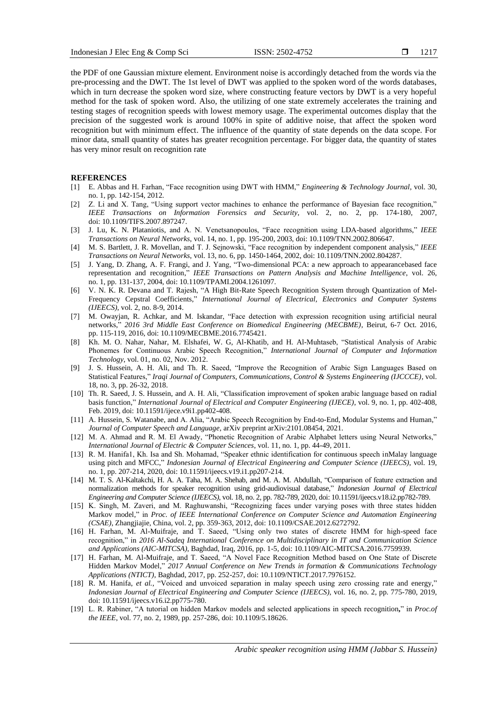the PDF of one Gaussian mixture element. Environment noise is accordingly detached from the words via the pre-processing and the DWT. The 1st level of DWT was applied to the spoken word of the words databases, which in turn decrease the spoken word size, where constructing feature vectors by DWT is a very hopeful method for the task of spoken word. Also, the utilizing of one state extremely accelerates the training and testing stages of recognition speeds with lowest memory usage. The experimental outcomes display that the precision of the suggested work is around 100% in spite of additive noise, that affect the spoken word recognition but with minimum effect. The influence of the quantity of state depends on the data scope. For minor data, small quantity of states has greater recognition percentage. For bigger data, the quantity of states has very minor result on recognition rate

### **REFERENCES**

- [1] E. Abbas and H. Farhan, "Face recognition using DWT with HMM," *Engineering & Technology Journal*, vol. 30, no. 1, pp. 142-154, 2012.
- [2] Z. Li and X. Tang, "Using support vector machines to enhance the performance of Bayesian face recognition," *IEEE Transactions on Information Forensics and Security*, vol. 2, no. 2, pp. 174-180, 2007, doi[: 10.1109/TIFS.2007.897247.](http://dx.doi.org/10.1109/TIFS.2007.897247)
- [3] J. Lu, K. N. Plataniotis, and A. N. Venetsanopoulos, "Face recognition using LDA-based algorithms," *IEEE Transactions on Neural Networks*, vol. 14, no. 1, pp. 195-200, 2003, doi: 10.1109/TNN.2002.806647.
- [4] M. S. Bartlett, J. R. Movellan, and T. J. Sejnowski, "Face recognition by independent component analysis," *IEEE Transactions on Neural Networks*, vol. 13, no. 6, pp. 1450-1464, 2002, doi: 10.1109/TNN.2002.804287.
- [5] J. Yang, D. Zhang, A. F. Frangi, and J. Yang, "Two-dimensional PCA: a new approach to appearancebased face representation and recognition," *IEEE Transactions on Pattern Analysis and Machine Intelligence*, vol. 26, no. 1, pp. 131-137, 2004, doi: 10.1109/TPAMI.2004.1261097.
- [6] V. N. K. R. Devana and T. Rajesh, "A High Bit-Rate Speech Recognition System through Quantization of Mel-Frequency Cepstral Coefficients," *International Journal of Electrical, Electronics and Computer Systems (IJEECS)*, vol. 2, no. 8-9, 2014.
- [7] M. Owayjan, R. Achkar, and M. Iskandar, "Face detection with expression recognition using artificial neural networks," *2016 3rd Middle East Conference on Biomedical Engineering (MECBME)*, Beirut, 6-7 Oct. 2016, pp. 115-119, 2016, doi: 10.1109/MECBME.2016.7745421.
- [8] Kh. M. O. Nahar, Nahar, M. Elshafei, W. G, Al-Khatib, and H. Al-Muhtaseb, "Statistical Analysis of Arabic Phonemes for Continuous Arabic Speech Recognition," *International Journal of Computer and Information Technology*, vol. 01, no. 02, Nov. 2012.
- [9] J. S. Hussein, A. H. Ali, and Th. R. Saeed, "Improve the Recognition of Arabic Sign Languages Based on Statistical Features," *Iraqi Journal of Computers, Communications, Control & Systems Engineering (IJCCCE)*, vol. 18, no. 3, pp. 26-32, 2018.
- [10] Th. R. Saeed, J. S. Hussein, and A. H. Ali, "Classification improvement of spoken arabic language based on radial basis function," *International Journal of Electrical and Computer Engineering (IJECE)*, vol. 9, no. 1, pp. 402-408, Feb. 2019, doi: 10.11591/ijece.v9i1.pp402-408.
- [11] A. Hussein, S. Watanabe, and A. Alia, "Arabic Speech Recognition by End-to-End, Modular Systems and Human," *Journal of Computer Speech and Language*, arXiv preprint arXiv:2101.08454, 2021.
- [12] M. A. Ahmad and R. M. El Awady, "Phonetic Recognition of Arabic Alphabet letters using Neural Networks," *International Journal of Electric & Computer Sciences*, vol. 11, no. 1, pp. 44-49, 2011.
- [13] R. M. Hanifa1, Kh. Isa and Sh. Mohamad, "Speaker ethnic identification for continuous speech inMalay language using pitch and MFCC," *Indonesian Journal of Electrical Engineering and Computer Science (IJEECS)*, vol. 19, no. 1, pp. 207-214, 2020, doi: 10.11591/ijeecs.v19.i1.pp207-214.
- [14] M. T. S. Al-Kaltakchi, H. A. A. Taha, M. A. Shehab, and M. A. M. Abdullah, "Comparison of feature extraction and normalization methods for speaker recognition using grid-audiovisual database," *Indonesian Journal of Electrical Engineering and Computer Science (IJEECS)*, vol. 18, no. 2, pp. 782-789, 2020, doi: 10.11591/ijeecs.v18.i2.pp782-789.
- [15] K. Singh, M. Zaveri, and M. Raghuwanshi, "Recognizing faces under varying poses with three states hidden Markov model," in *Proc. of IEEE International Conference on Computer Science and Automation Engineering (CSAE)*, Zhangjiajie, China, vol. 2, pp. 359-363, 2012, doi: 10.1109/CSAE.2012.6272792.
- [16] H. Farhan, M. Al-Muifraje, and T. Saeed, "Using only two states of discrete HMM for high-speed face recognition," in *2016 Al-Sadeq International Conference on Multidisciplinary in IT and Communication Science and Applications (AIC-MITCSA)*, Baghdad, Iraq, 2016, pp. 1-5, doi: 10.1109/AIC-MITCSA.2016.7759939.
- [17] H. Farhan, M. Al-Muifraje, and T. Saeed, "A Novel Face Recognition Method based on One State of Discrete Hidden Markov Model," *2017 Annual Conference on New Trends in formation & Communications Technology Applications (NTICT)*, Baghdad, 2017, pp. 252-257, doi: 10.1109/NTICT.2017.7976152.
- [18] R. M. Hanifa, *et al.*, "Voiced and unvoiced separation in malay speech using zero crossing rate and energy," *Indonesian Journal of Electrical Engineering and Computer Science (IJEECS)*, vol. 16, no. 2, pp. 775-780, 2019, doi: 10.11591/ijeecs.v16.i2.pp775-780.
- [19] L. R. Rabiner, "A tutorial on hidden Markov models and selected applications in speech recognition**,**" in *Proc.of the IEEE*, vol. 77, no. 2, 1989, pp. 257-286, doi: 10.1109/5.18626.